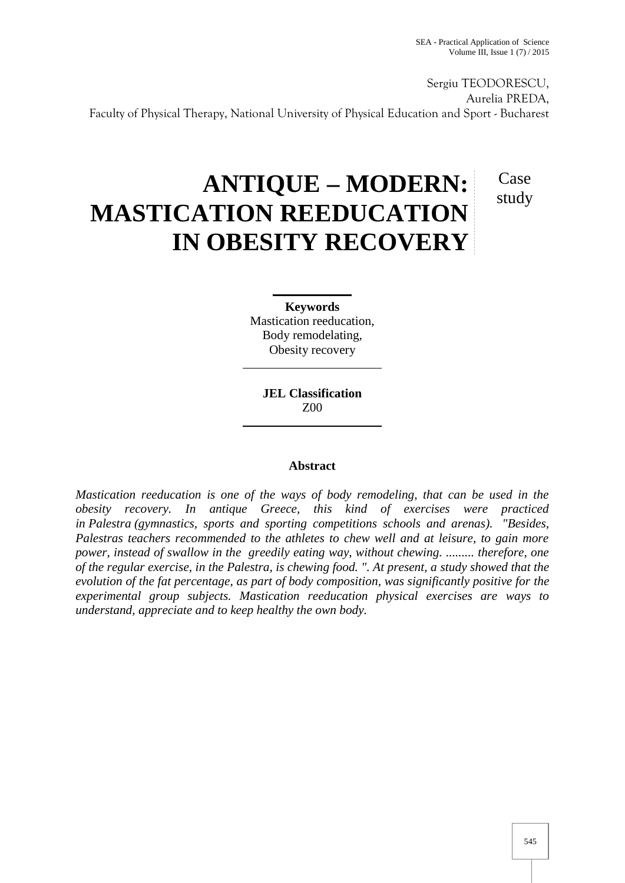Case

study

Sergiu TEODORESCU, Aurelia PREDA, Faculty of Physical Therapy, National University of Physical Education and Sport - Bucharest

# **ANTIQUE – MODERN: MASTICATION REEDUCATION IN OBESITY RECOVERY**

**Keywords** Mastication reeducation, Body remodelating, Obesity recovery

**JEL Classification** Z00

## **Abstract**

*Mastication reeducation is one of the ways of body remodeling, that can be used in the obesity recovery. In antique Greece, this kind of exercises were practiced in Palestra (gymnastics, sports and sporting competitions schools and arenas). "Besides, Palestras teachers recommended to the athletes to chew well and at leisure, to gain more power, instead of swallow in the greedily eating way, without chewing. ......... therefore, one of the regular exercise, in the Palestra, is chewing food. ". At present, a study showed that the evolution of the fat percentage, as part of body composition, was significantly positive for the experimental group subjects. Mastication reeducation physical exercises are ways to understand, appreciate and to keep healthy the own body.*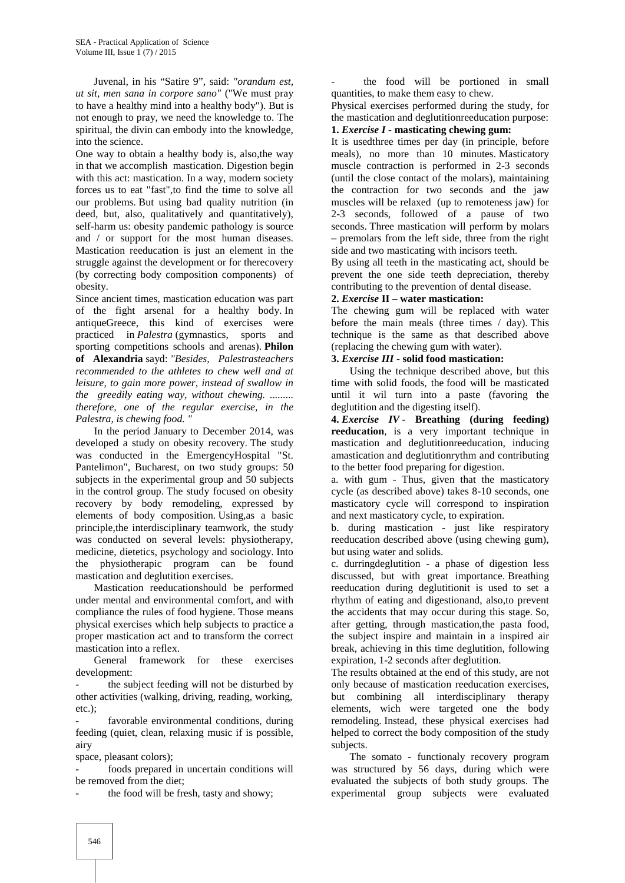Juvenal, in his "Satire 9", said: *"orandum est, ut sit, men sana in corpore sano"* ("We must pray to have a healthy mind into a healthy body"). But is not enough to pray, we need the knowledge to. The spiritual, the divin can embody into the knowledge, into the science.

One way to obtain a healthy body is, also,the way in that we accomplish mastication. Digestion begin with this act: mastication. In a way, modern society forces us to eat "fast",to find the time to solve all our problems. But using bad quality nutrition (in deed, but, also, qualitatively and quantitatively), self-harm us: obesity pandemic pathology is source and / or support for the most human diseases. Mastication reeducation is just an element in the struggle against the development or for therecovery (by correcting body composition components) of obesity.

Since ancient times, mastication education was part of the fight arsenal for a healthy body. In antiqueGreece, this kind of exercises were practiced in *Palestra* (gymnastics, sports and sporting competitions schools and arenas). **Philon of Alexandria** sayd: *"Besides, Palestrasteachers recommended to the athletes to chew well and at leisure, to gain more power, instead of swallow in the greedily eating way, without chewing. ......... therefore, one of the regular exercise, in the Palestra, is chewing food. "*

In the period January to December 2014, was developed a study on obesity recovery. The study was conducted in the EmergencyHospital "St. Pantelimon", Bucharest, on two study groups: 50 subjects in the experimental group and 50 subjects in the control group. The study focused on obesity recovery by body remodeling, expressed by elements of body composition. Using,as a basic principle,the interdisciplinary teamwork, the study was conducted on several levels: physiotherapy, medicine, dietetics, psychology and sociology. Into the physiotherapic program can be found mastication and deglutition exercises.

Mastication reeducationshould be performed under mental and environmental comfort, and with compliance the rules of food hygiene. Those means physical exercises which help subjects to practice a proper mastication act and to transform the correct mastication into a reflex.

General framework for these exercises development:

the subject feeding will not be disturbed by other activities (walking, driving, reading, working, etc.);

favorable environmental conditions, during feeding (quiet, clean, relaxing music if is possible, airy

space, pleasant colors);

foods prepared in uncertain conditions will be removed from the diet;

the food will be fresh, tasty and showy;

the food will be portioned in small quantities, to make them easy to chew.

Physical exercises performed during the study, for the mastication and deglutitionreeducation purpose:

## **1.** *Exercise I* **- masticating chewing gum:**

It is usedthree times per day (in principle, before meals), no more than 10 minutes. Masticatory muscle contraction is performed in 2-3 seconds (until the close contact of the molars), maintaining the contraction for two seconds and the jaw muscles will be relaxed (up to remoteness jaw) for 2-3 seconds, followed of a pause of two seconds. Three mastication will perform by molars – premolars from the left side, three from the right side and two masticating with incisors teeth.

By using all teeth in the masticating act, should be prevent the one side teeth depreciation, thereby contributing to the prevention of dental disease.

#### **2.** *Exercise* **II – water mastication:**

The chewing gum will be replaced with water before the main meals (three times / day). This technique is the same as that described above (replacing the chewing gum with water).

#### **3.** *Exercise III* **- solid food mastication:**

Using the technique described above, but this time with solid foods, the food will be masticated until it wil turn into a paste (favoring the deglutition and the digesting itself).

**4.** *Exercise IV* **- Breathing (during feeding) reeducation**, is a very important technique in mastication and deglutitionreeducation, inducing amastication and deglutitionrythm and contributing to the better food preparing for digestion.

a. with gum - Thus, given that the masticatory cycle (as described above) takes 8-10 seconds, one masticatory cycle will correspond to inspiration and next masticatory cycle, to expiration.

b. during mastication - just like respiratory reeducation described above (using chewing gum), but using water and solids.

c. durringdeglutition - a phase of digestion less discussed, but with great importance. Breathing reeducation during deglutitionit is used to set a rhythm of eating and digestionand, also,to prevent the accidents that may occur during this stage. So, after getting, through mastication,the pasta food, the subject inspire and maintain in a inspired air break, achieving in this time deglutition, following expiration, 1-2 seconds after deglutition.

The results obtained at the end of this study, are not only because of mastication reeducation exercises, but combining all interdisciplinary therapy elements, wich were targeted one the body remodeling. Instead, these physical exercises had helped to correct the body composition of the study subjects.

The somato - functionaly recovery program was structured by 56 days, during which were evaluated the subjects of both study groups. The experimental group subjects were evaluated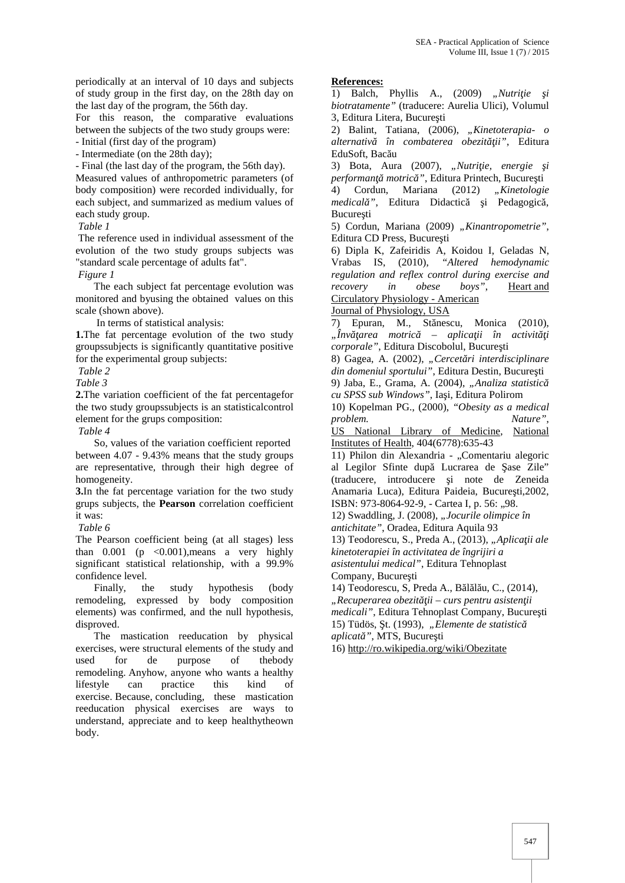periodically at an interval of 10 days and subjects of study group in the first day, on the 28th day on the last day of the program, the 56th day.

For this reason, the comparative evaluations between the subjects of the two study groups were: - Initial (first day of the program)

- Intermediate (on the 28th day);

- Final (the last day of the program, the 56th day).

Measured values of anthropometric parameters (of body composition) were recorded individually, for each subject, and summarized as medium values of each study group.

*Table 1*

The reference used in individual assessment of the evolution of the two study groups subjects was "standard scale percentage of adults fat".

*Figure 1*

The each subject fat percentage evolution was monitored and byusing the obtained values on this scale (shown above).

In terms of statistical analysis:

**1.**The fat percentage evolution of the two study  $\ldots$ ,  $\hat{I}nv$  area motric groupssubjects is significantly quantitative positive for the experimental group subjects:

*Table 2*

*Table 3*

**2.**The variation coefficient of the fat percentagefor the two study groupssubjects is an statisticalcontrol element for the grups composition:

*Table 4*

So, values of the variation coefficient reported between 4.07 - 9.43% means that the study groups are representative, through their high degree of homogeneity.

**3.**In the fat percentage variation for the two study grups subjects, the **Pearson** correlation coefficient it was:

*Table 6*

The Pearson coefficient being (at all stages) less than  $0.001$  (p  $< 0.001$ ), means a very highly significant statistical relationship, with a 99.9% confidence level.

Finally, the study hypothesis (body remodeling, expressed by body composition elements) was confirmed, and the null hypothesis, disproved.

The mastication reeducation by physical exercises, were structural elements of the study and used for de purpose of thebody remodeling. Anyhow, anyone who wants a healthy lifestyle can practice this kind of exercise. Because, concluding, these mastication reeducation physical exercises are ways to understand, appreciate and to keep healthytheown body.

#### **References:**

 $\overline{1}$ ) Balch, Phyllis A., (2009) "*Nutri ie i biotratamente"* (traducere: Aurelia Ulici), Volumul 3, Editura Litera, Bucure ti

2) Balint, Tatiana, (2006), *"Kinetoterapia- o alternativă în combaterea obezităţii"*, Editura EduSoft, Bac u

3) Bota, Aura (2007), "Nutri ie, energie i performan motric<sup>"</sup>, Editura Printech, Bucure ti

4) Cordun, Mariana (2012) *"Kinetologie medical* ", Editura Didactic i Pedagogic, Bucure ti

5) Cordun, Mariana (2009) "Kinantropometrie", Editura CD Press, Bucure ti

6) Dipla K, Zafeiridis A, Koidou I, Geladas N, Vrabas IS, (2010), *"Altered hemodynamic regulation and reflex control during exercise and recovery in obese boys"*, Heart and Circulatory Physiology - American

#### Journal of Physiology, USA

7) Epuran, M., St nescu, Monica (2010), *"Învăţarea motrică – aplicaţii în activităţi corporale"*, Editura Discobolul, Bucure ti 8) Gagea, A. (2002), "Cercet ri interdisciplinare

*din domeniul sportului"*, Editura Destin, Bucure ti 9) Jaba, E., Grama, A. (2004), "Analiza statistic

 $cu$  SPSS sub Windows", Ia i, Editura Polirom

10) Kopelman PG., (2000), *"Obesity as a medical problem. Nature"*,

US National Library of Medicine, National Institutes of Health, 404(6778):635-43

11) Philon din Alexandria - "Comentariu alegoric al Legilor Sfinte după Lucrarea de ase Zile" (traducere, introducere i note de Zeneida Anamaria Luca), Editura Paideia, Bucure ti,2002, ISBN: 973-8064-92-9, - Cartea I, p. 56: "98.

12) Swaddling, J. (2008), *"Jocurile olimpice în*

*antichitate"*, Oradea, Editura Aquila 93

13) Teodorescu, S., Preda A., (2013), "Aplica ii ale *kinetoterapiei în activitatea de îngrijiri a asistentului medical"*, Editura Tehnoplast Company, Bucure ti

14) Teodorescu, S, Preda A., B 1 1 u, C., (2014), *"Recuperarea obezităţii – curs pentru asistenţii medicali"*, Editura Tehnoplast Company, Bucure ti 15) Tüdös, t. (1993), "Elemente de statistic *aplicat* ", MTS, Bucure ti

16) http://ro.wikipedia.org/wiki/Obezitate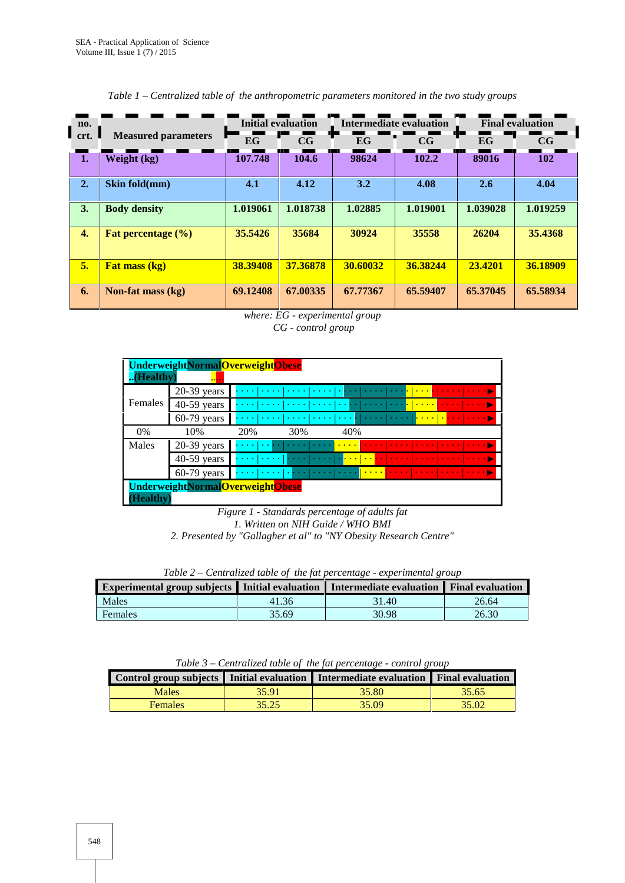| . no.               | <b>Measured parameters</b> | <b>Initial evaluation</b> |          | Intermediate evaluation |          | <b>Final evaluation</b> |            |
|---------------------|----------------------------|---------------------------|----------|-------------------------|----------|-------------------------|------------|
| $\blacksquare$ crt. |                            | EG                        | CG       | EG                      | CG       | EG                      | CG         |
| 1.                  | Weight (kg)                | 107.748                   | 104.6    | 98624                   | 102.2    | 89016                   | <b>102</b> |
| 2.                  | Skin fold(mm)              | 4.1                       | 4.12     | 3.2                     | 4.08     | 2.6                     | 4.04       |
| 3.                  | <b>Body density</b>        | 1.019061                  | 1.018738 | 1.02885                 | 1.019001 | 1.039028                | 1.019259   |
| 4.                  | Fat percentage $(\% )$     | 35.5426                   | 35684    | 30924                   | 35558    | 26204                   | 35.4368    |
| 5.                  | <b>Fat mass (kg)</b>       | 38.39408                  | 37.36878 | 30.60032                | 36.38244 | 23.4201                 | 36.18909   |
| 6.                  | Non-fat mass $(kg)$        | 69.12408                  | 67.00335 | 67.77367                | 65.59407 | 65,37045                | 65.58934   |

#### *Table 1 – Centralized table of the anthropometric parameters monitored in the two study groups*



| UnderweightNormalOverweightObese |               |                                                                                                                                                                |  |  |  |
|----------------------------------|---------------|----------------------------------------------------------------------------------------------------------------------------------------------------------------|--|--|--|
| (Healthy)                        | <b></b>       |                                                                                                                                                                |  |  |  |
|                                  | $20-39$ years | <mark>.    </mark><br>.<br><b>Service</b>                                                                                                                      |  |  |  |
| Females                          | $40-59$ years | <u>. <mark>.</mark></u><br>$\cdots$<br><b><i>Property</i></b><br>$\sim$ $\sim$ $\sim$ $\sim$<br>$\mathbf{r}$ , and $\mathbf{r}$ , and $\mathbf{r}$<br>$\cdots$ |  |  |  |
|                                  | $60-79$ years | <u>.   .  </u>  <br>.<br><b>Service</b>                                                                                                                        |  |  |  |
| $0\%$                            | 10%           | 20%<br>30%<br>40%                                                                                                                                              |  |  |  |
| Males                            | $20-39$ years | .<br><b>Service</b><br>$\cdots$<br><b>Contractor</b>                                                                                                           |  |  |  |
|                                  | $40-59$ years | <b>Land Care</b><br>$\mathbf{1}$ and $\mathbf{1}$<br><b>Service</b> State                                                                                      |  |  |  |
|                                  | $60-79$ years | <u>la ser alla ser a la ser al ser a la ser a la ser a l</u><br><b>Contract Contract</b>                                                                       |  |  |  |
|                                  |               | UnderweightNormalOverweightObese                                                                                                                               |  |  |  |
| (Healthy                         |               |                                                                                                                                                                |  |  |  |

*Figure 1 - Standards percentage of adults fat 1. Written on NIH Guide / WHO BMI 2. Presented by "Gallagher et al" to "NY Obesity Research Centre"*

|  | Table 2 – Centralized table of the fat percentage - experimental group |  |
|--|------------------------------------------------------------------------|--|
|  |                                                                        |  |

| Experimental group subjects   Initial evaluation   Intermediate evaluation   Final evaluation |       |       |       |
|-----------------------------------------------------------------------------------------------|-------|-------|-------|
| Males                                                                                         | 41.36 | 31.40 | 26.64 |
| Females                                                                                       | 35.69 | 30.98 | 26.30 |

*Table 3 – Centralized table of the fat percentage - control group*

|                |       | Control group subjects Initial evaluation Intermediate evaluation Final evaluation |       |
|----------------|-------|------------------------------------------------------------------------------------|-------|
| Males          | 35.91 | 35.80                                                                              | 35.65 |
| <b>Females</b> | 35.25 | 35.09                                                                              | 35.02 |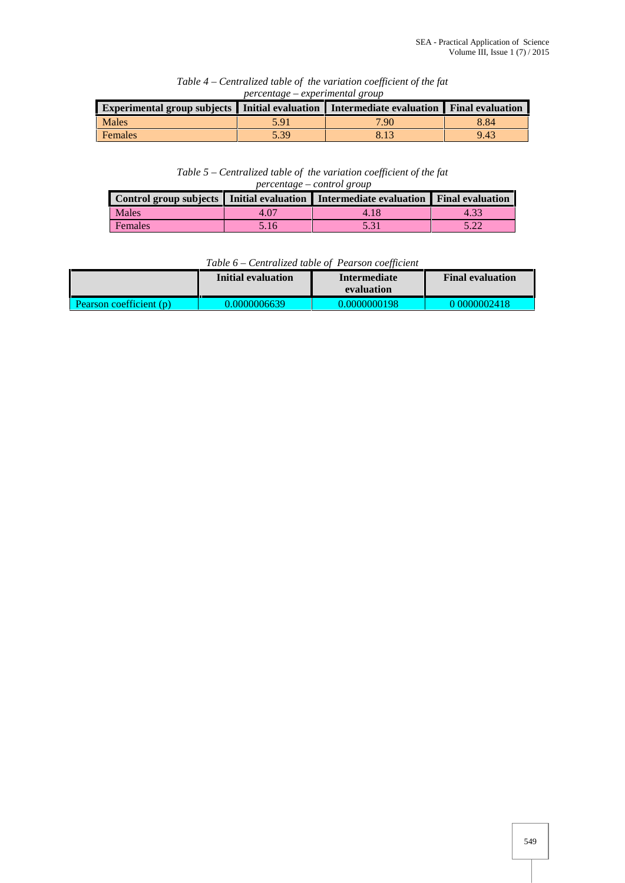| Experimental group subjects   Initial evaluation   Intermediate evaluation   Final evaluation |      |      |      |
|-----------------------------------------------------------------------------------------------|------|------|------|
| Males                                                                                         | 5.91 | 7.90 | 8.84 |
| <b>Females</b>                                                                                | 5.39 |      | 9.43 |

### *Table 4 – Centralized table of the variation coefficient of the fat percentage – experimental group*

*Table 5 – Centralized table of the variation coefficient of the fat percentage – control group*

|         |      | Control group subjects I Initial evaluation I Intermediate evaluation Final evaluation |      |
|---------|------|----------------------------------------------------------------------------------------|------|
| Males   | 4.07 | 4.18                                                                                   | 4.33 |
| Females | 5.16 |                                                                                        | 5.22 |

## *Table 6 – Centralized table of Pearson coefficient*

|                         | Initial evaluation | Intermediate<br>evaluation | <b>Final evaluation</b> |
|-------------------------|--------------------|----------------------------|-------------------------|
| Pearson coefficient (p) | 0.0000006639       | 0.0000000198               | 0.0000002418            |